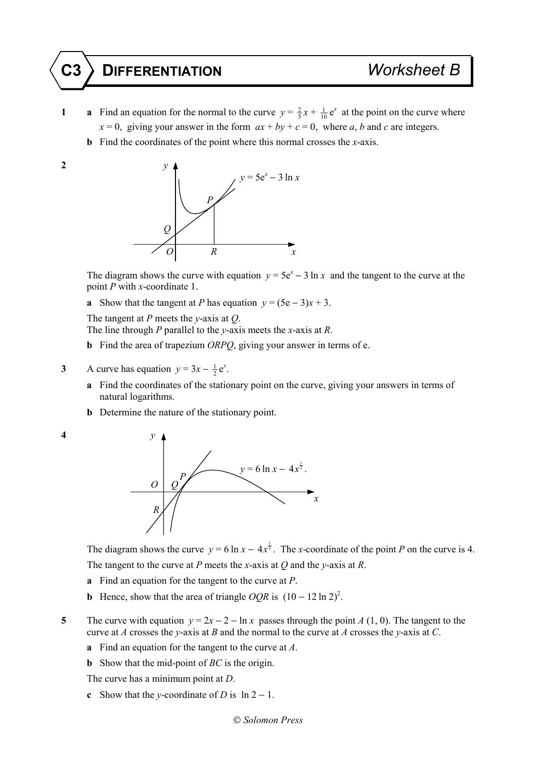## **C3 DIFFERENTIATION** *Worksheet B*

- **1 a** Find an equation for the normal to the curve  $y = \frac{2}{5}x + \frac{1}{10}e^x$  at the point on the curve where  $x = 0$ , giving your answer in the form  $ax + by + c = 0$ , where *a*, *b* and *c* are integers.
	- **b** Find the coordinates of the point where this normal crosses the *x*-axis.
- 



The diagram shows the curve with equation  $y = 5e^{x} - 3 \ln x$  and the tangent to the curve at the point *P* with *x*-coordinate 1.

**a** Show that the tangent at *P* has equation  $y = (5e - 3)x + 3$ .

The tangent at *P* meets the *y*-axis at *Q*.

The line through *P* parallel to the *y*-axis meets the *x*-axis at *R*.

- **b** Find the area of trapezium *ORPQ*, giving your answer in terms of e.
- **3** A curve has equation  $y = 3x \frac{1}{2}e^x$ .
	- **a** Find the coordinates of the stationary point on the curve, giving your answers in terms of natural logarithms.
	- **b** Determine the nature of the stationary point.



The diagram shows the curve  $y = 6 \ln x - 4x^{\frac{1}{2}}$ . The *x*-coordinate of the point *P* on the curve is 4. The tangent to the curve at *P* meets the *x*-axis at *Q* and the *y*-axis at *R*.

- **a** Find an equation for the tangent to the curve at *P*.
- **b** Hence, show that the area of triangle  $OQR$  is  $(10 12 \ln 2)^2$ .

**5** The curve with equation  $y = 2x - 2 - \ln x$  passes through the point *A* (1, 0). The tangent to the curve at *A* crosses the *y*-axis at *B* and the normal to the curve at *A* crosses the *y*-axis at *C*.

- **a** Find an equation for the tangent to the curve at *A*.
- **b** Show that the mid-point of *BC* is the origin.

The curve has a minimum point at *D*.

**c** Show that the *y*-coordinate of *D* is  $\ln 2 - 1$ .